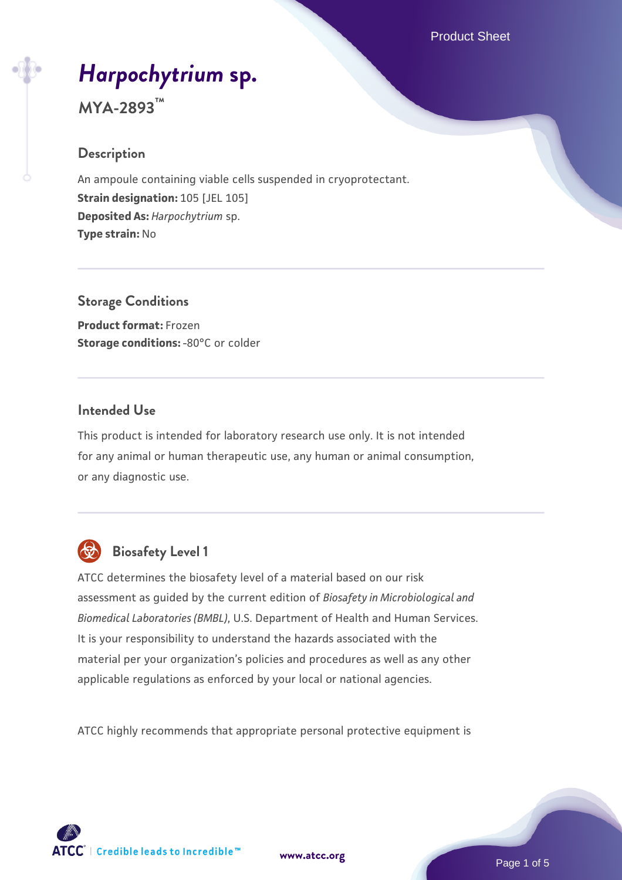# *[Harpochytrium](https://www.atcc.org/products/mya-2893)* **[sp.](https://www.atcc.org/products/mya-2893)**

**MYA-2893™**

#### **Description**

An ampoule containing viable cells suspended in cryoprotectant. **Strain designation:** 105 [JEL 105] **Deposited As:** *Harpochytrium* sp. **Type strain:** No

**Storage Conditions Product format:** Frozen **Storage conditions: -80°C or colder** 

#### **Intended Use**

This product is intended for laboratory research use only. It is not intended for any animal or human therapeutic use, any human or animal consumption, or any diagnostic use.



## **Biosafety Level 1**

ATCC determines the biosafety level of a material based on our risk assessment as guided by the current edition of *Biosafety in Microbiological and Biomedical Laboratories (BMBL)*, U.S. Department of Health and Human Services. It is your responsibility to understand the hazards associated with the material per your organization's policies and procedures as well as any other applicable regulations as enforced by your local or national agencies.

ATCC highly recommends that appropriate personal protective equipment is

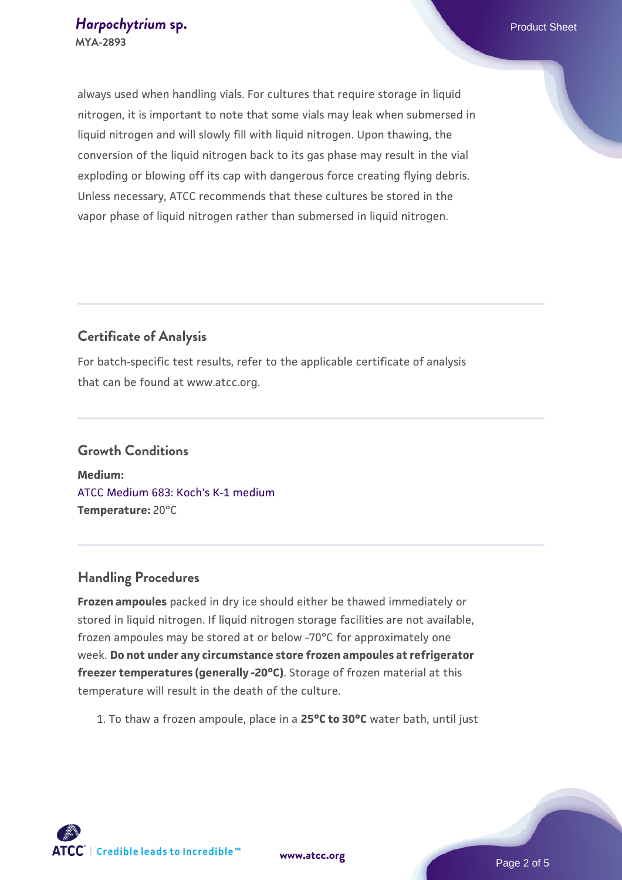always used when handling vials. For cultures that require storage in liquid nitrogen, it is important to note that some vials may leak when submersed in liquid nitrogen and will slowly fill with liquid nitrogen. Upon thawing, the conversion of the liquid nitrogen back to its gas phase may result in the vial exploding or blowing off its cap with dangerous force creating flying debris. Unless necessary, ATCC recommends that these cultures be stored in the vapor phase of liquid nitrogen rather than submersed in liquid nitrogen.

### **Certificate of Analysis**

For batch-specific test results, refer to the applicable certificate of analysis that can be found at www.atcc.org.

## **Growth Conditions**

**Medium:**  [ATCC Medium 683: Koch's K-1 medium](https://www.atcc.org/-/media/product-assets/documents/microbial-media-formulations/6/8/3/atcc-medium-683.pdf?rev=069782a4e6994b99b871ef015bb638f7) **Temperature:** 20°C

#### **Handling Procedures**

**Frozen ampoules** packed in dry ice should either be thawed immediately or stored in liquid nitrogen. If liquid nitrogen storage facilities are not available, frozen ampoules may be stored at or below -70°C for approximately one week. **Do not under any circumstance store frozen ampoules at refrigerator freezer temperatures (generally -20°C)**. Storage of frozen material at this temperature will result in the death of the culture.

1. To thaw a frozen ampoule, place in a **25°C to 30°C** water bath, until just

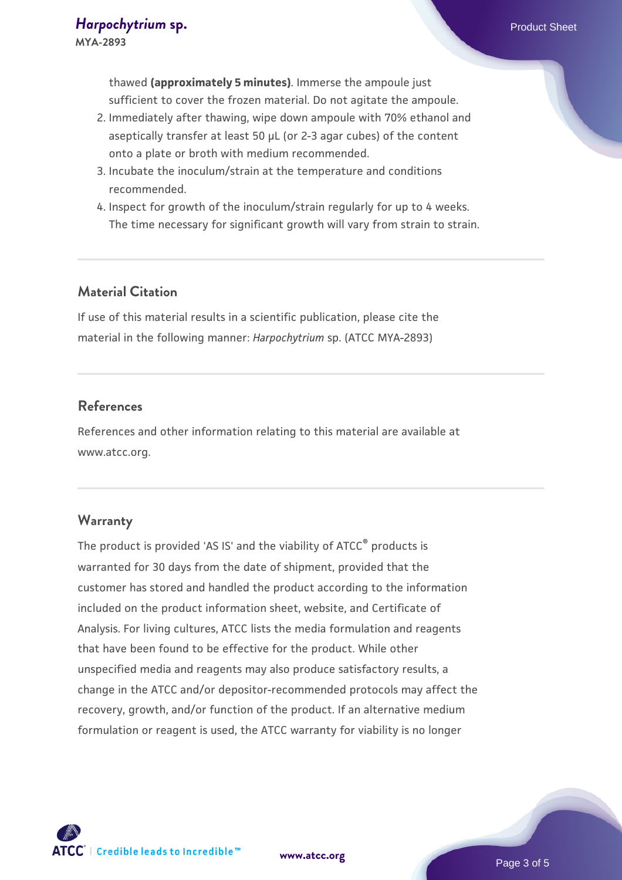- 2. Immediately after thawing, wipe down ampoule with 70% ethanol and aseptically transfer at least 50 µL (or 2-3 agar cubes) of the content onto a plate or broth with medium recommended.
- 3. Incubate the inoculum/strain at the temperature and conditions recommended.
- 4. Inspect for growth of the inoculum/strain regularly for up to 4 weeks. The time necessary for significant growth will vary from strain to strain.

#### **Material Citation**

If use of this material results in a scientific publication, please cite the material in the following manner: *Harpochytrium* sp. (ATCC MYA-2893)

### **References**

References and other information relating to this material are available at www.atcc.org.

#### **Warranty**

The product is provided 'AS IS' and the viability of ATCC® products is warranted for 30 days from the date of shipment, provided that the customer has stored and handled the product according to the information included on the product information sheet, website, and Certificate of Analysis. For living cultures, ATCC lists the media formulation and reagents that have been found to be effective for the product. While other unspecified media and reagents may also produce satisfactory results, a change in the ATCC and/or depositor-recommended protocols may affect the recovery, growth, and/or function of the product. If an alternative medium formulation or reagent is used, the ATCC warranty for viability is no longer

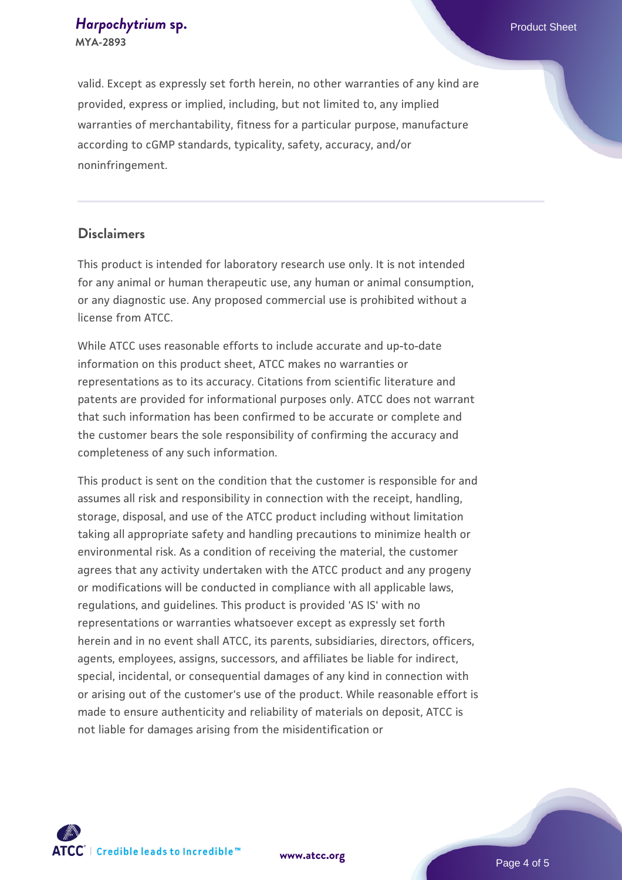#### *[Harpochytrium](https://www.atcc.org/products/mya-2893)* **[sp.](https://www.atcc.org/products/mya-2893)** Product Sheet **MYA-2893**

valid. Except as expressly set forth herein, no other warranties of any kind are provided, express or implied, including, but not limited to, any implied warranties of merchantability, fitness for a particular purpose, manufacture according to cGMP standards, typicality, safety, accuracy, and/or noninfringement.

#### **Disclaimers**

This product is intended for laboratory research use only. It is not intended for any animal or human therapeutic use, any human or animal consumption, or any diagnostic use. Any proposed commercial use is prohibited without a license from ATCC.

While ATCC uses reasonable efforts to include accurate and up-to-date information on this product sheet, ATCC makes no warranties or representations as to its accuracy. Citations from scientific literature and patents are provided for informational purposes only. ATCC does not warrant that such information has been confirmed to be accurate or complete and the customer bears the sole responsibility of confirming the accuracy and completeness of any such information.

This product is sent on the condition that the customer is responsible for and assumes all risk and responsibility in connection with the receipt, handling, storage, disposal, and use of the ATCC product including without limitation taking all appropriate safety and handling precautions to minimize health or environmental risk. As a condition of receiving the material, the customer agrees that any activity undertaken with the ATCC product and any progeny or modifications will be conducted in compliance with all applicable laws, regulations, and guidelines. This product is provided 'AS IS' with no representations or warranties whatsoever except as expressly set forth herein and in no event shall ATCC, its parents, subsidiaries, directors, officers, agents, employees, assigns, successors, and affiliates be liable for indirect, special, incidental, or consequential damages of any kind in connection with or arising out of the customer's use of the product. While reasonable effort is made to ensure authenticity and reliability of materials on deposit, ATCC is not liable for damages arising from the misidentification or



**[www.atcc.org](http://www.atcc.org)**

Page 4 of 5